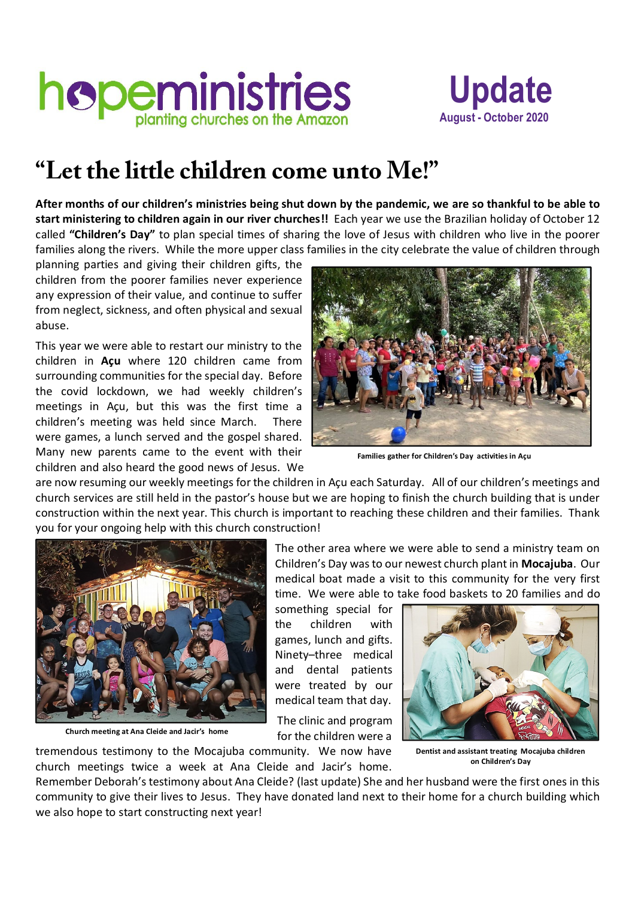



## **"Let the little children come unto Me!"**

**After months of our children's ministries being shut down by the pandemic, we are so thankful to be able to start ministering to children again in our river churches!!** Each year we use the Brazilian holiday of October 12 called **"Children's Day"** to plan special times of sharing the love of Jesus with children who live in the poorer families along the rivers. While the more upper class families in the city celebrate the value of children through

planning parties and giving their children gifts, the children from the poorer families never experience any expression of their value, and continue to suffer from neglect, sickness, and often physical and sexual abuse.

This year we were able to restart our ministry to the children in **Açu** where 120 children came from surrounding communities for the special day. Before the covid lockdown, we had weekly children's meetings in Açu, but this was the first time a children's meeting was held since March. There were games, a lunch served and the gospel shared. Many new parents came to the event with their children and also heard the good news of Jesus. We



**Families gather for Children's Day activities in Açu**

are now resuming our weekly meetings for the children in Açu each Saturday. All of our children's meetings and church services are still held in the pastor's house but we are hoping to finish the church building that is under construction within the next year. This church is important to reaching these children and their families. Thank you for your ongoing help with this church construction!



 **Church meeting at Ana Cleide and Jacir's home**

The other area where we were able to send a ministry team on Children's Day was to our newest church plant in **Mocajuba**. Our medical boat made a visit to this community for the very first time. We were able to take food baskets to 20 families and do

something special for the children with games, lunch and gifts. Ninety–three medical and dental patients were treated by our medical team that day.

The clinic and program for the children were a





**Dentist and assistant treating Mocajuba children on Children's Day**

Remember Deborah's testimony about Ana Cleide? (last update) She and her husband were the first ones in this community to give their lives to Jesus. They have donated land next to their home for a church building which we also hope to start constructing next year!